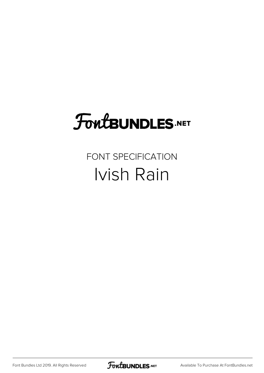# **FoutBUNDLES.NET**

## FONT SPECIFICATION Ivish Rain

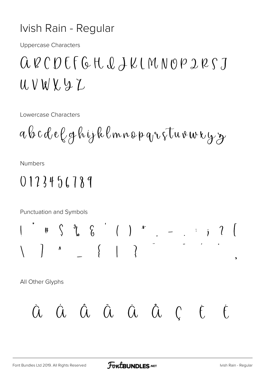#### Ivish Rain - Regular

**Uppercase Characters** 

## $QUQCDFGHQLLMNOPDRJ$  $UVWY9Z$

Lowercase Characters

**Numbers** 

### $0123456789$

Punctuation and Symbols

All Other Glyphs

$$
\dot{a} \quad \dot{a} \quad \dot{a} \quad \dot{a} \quad \ddot{a} \quad \ddot{a} \quad \ddot{a} \quad \ddot{c} \quad \dot{c} \quad \ddot{c}
$$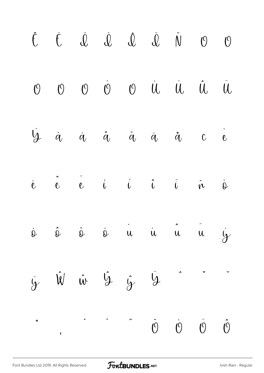